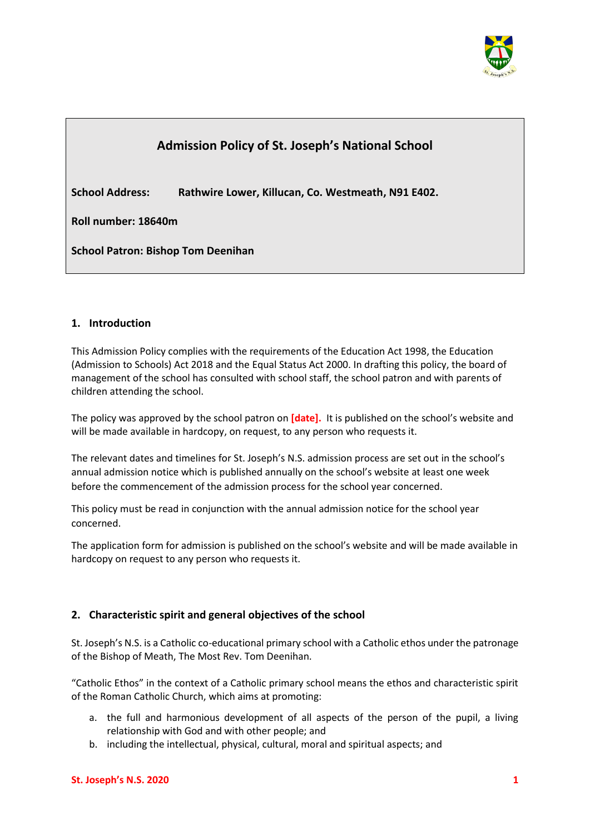

# **Admission Policy of St. Joseph's National School**

**School Address: Rathwire Lower, Killucan, Co. Westmeath, N91 E402.**

**Roll number: 18640m**

**School Patron: Bishop Tom Deenihan**

### **1. Introduction**

This Admission Policy complies with the requirements of the Education Act 1998, the Education (Admission to Schools) Act 2018 and the Equal Status Act 2000. In drafting this policy, the board of management of the school has consulted with school staff, the school patron and with parents of children attending the school.

The policy was approved by the school patron on **[date].** It is published on the school's website and will be made available in hardcopy, on request, to any person who requests it.

The relevant dates and timelines for St. Joseph's N.S. admission process are set out in the school's annual admission notice which is published annually on the school's website at least one week before the commencement of the admission process for the school year concerned.

This policy must be read in conjunction with the annual admission notice for the school year concerned.

The application form for admission is published on the school's website and will be made available in hardcopy on request to any person who requests it.

### **2. Characteristic spirit and general objectives of the school**

St. Joseph's N.S. is a Catholic co-educational primary school with a Catholic ethos under the patronage of the Bishop of Meath, The Most Rev. Tom Deenihan.

"Catholic Ethos" in the context of a Catholic primary school means the ethos and characteristic spirit of the Roman Catholic Church, which aims at promoting:

- a. the full and harmonious development of all aspects of the person of the pupil, a living relationship with God and with other people; and
- b. including the intellectual, physical, cultural, moral and spiritual aspects; and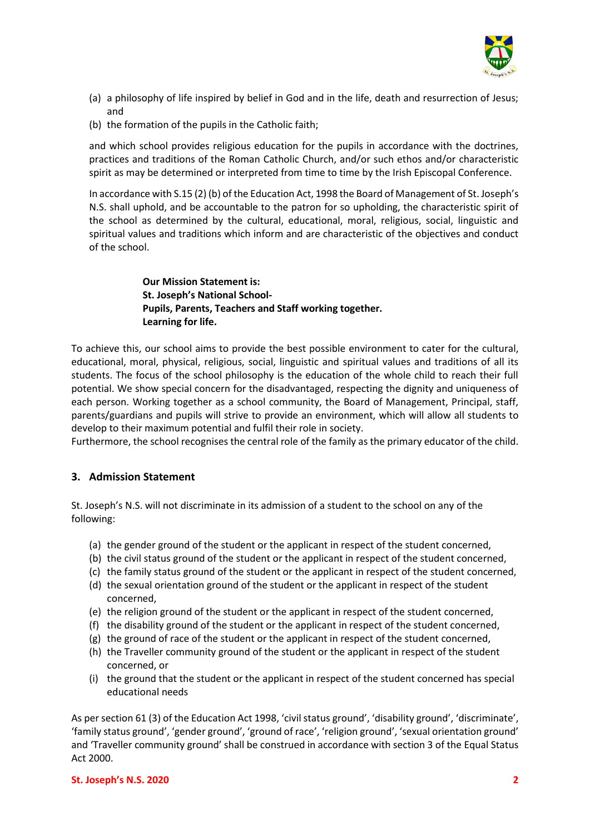

- (a) a philosophy of life inspired by belief in God and in the life, death and resurrection of Jesus; and
- (b) the formation of the pupils in the Catholic faith;

and which school provides religious education for the pupils in accordance with the doctrines, practices and traditions of the Roman Catholic Church, and/or such ethos and/or characteristic spirit as may be determined or interpreted from time to time by the Irish Episcopal Conference.

In accordance with S.15 (2) (b) of the Education Act, 1998 the Board of Management of St. Joseph's N.S. shall uphold, and be accountable to the patron for so upholding, the characteristic spirit of the school as determined by the cultural, educational, moral, religious, social, linguistic and spiritual values and traditions which inform and are characteristic of the objectives and conduct of the school.

> **Our Mission Statement is: St. Joseph's National School-Pupils, Parents, Teachers and Staff working together. Learning for life.**

To achieve this, our school aims to provide the best possible environment to cater for the cultural, educational, moral, physical, religious, social, linguistic and spiritual values and traditions of all its students. The focus of the school philosophy is the education of the whole child to reach their full potential. We show special concern for the disadvantaged, respecting the dignity and uniqueness of each person. Working together as a school community, the Board of Management, Principal, staff, parents/guardians and pupils will strive to provide an environment, which will allow all students to develop to their maximum potential and fulfil their role in society.

Furthermore, the school recognises the central role of the family as the primary educator of the child.

#### **3. Admission Statement**

St. Joseph's N.S. will not discriminate in its admission of a student to the school on any of the following:

- (a) the gender ground of the student or the applicant in respect of the student concerned,
- (b) the civil status ground of the student or the applicant in respect of the student concerned,
- (c) the family status ground of the student or the applicant in respect of the student concerned,
- (d) the sexual orientation ground of the student or the applicant in respect of the student concerned,
- (e) the religion ground of the student or the applicant in respect of the student concerned,
- (f) the disability ground of the student or the applicant in respect of the student concerned,
- (g) the ground of race of the student or the applicant in respect of the student concerned,
- (h) the Traveller community ground of the student or the applicant in respect of the student concerned, or
- (i) the ground that the student or the applicant in respect of the student concerned has special educational needs

As per section 61 (3) of the Education Act 1998, 'civil status ground', 'disability ground', 'discriminate', 'family status ground', 'gender ground', 'ground of race', 'religion ground', 'sexual orientation ground' and 'Traveller community ground' shall be construed in accordance with section 3 of the Equal Status Act 2000.

#### **St. Joseph's N.S. 2020 2**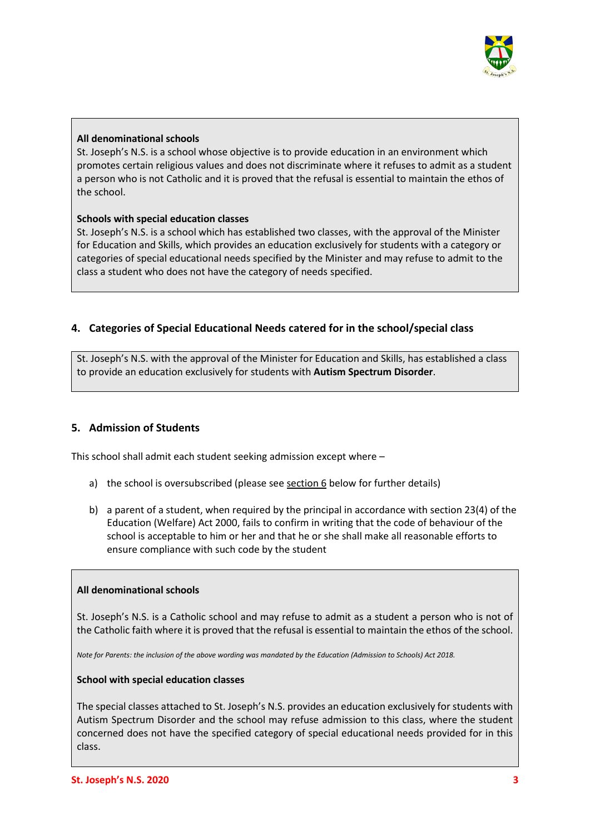

### **All denominational schools**

St. Joseph's N.S. is a school whose objective is to provide education in an environment which promotes certain religious values and does not discriminate where it refuses to admit as a student a person who is not Catholic and it is proved that the refusal is essential to maintain the ethos of the school.

### **Schools with special education classes**

St. Joseph's N.S. is a school which has established two classes, with the approval of the Minister for Education and Skills, which provides an education exclusively for students with a category or categories of special educational needs specified by the Minister and may refuse to admit to the class a student who does not have the category of needs specified.

# **4. Categories of Special Educational Needs catered for in the school/special class**

St. Joseph's N.S. with the approval of the Minister for Education and Skills, has established a class to provide an education exclusively for students with **Autism Spectrum Disorder**.

### **5. Admission of Students**

This school shall admit each student seeking admission except where –

- a) the school is oversubscribed (please see [section 6](#page-3-0) below for further details)
- b) a parent of a student, when required by the principal in accordance with section 23(4) of the Education (Welfare) Act 2000, fails to confirm in writing that the code of behaviour of the school is acceptable to him or her and that he or she shall make all reasonable efforts to ensure compliance with such code by the student

#### **All denominational schools**

St. Joseph's N.S. is a Catholic school and may refuse to admit as a student a person who is not of the Catholic faith where it is proved that the refusal is essential to maintain the ethos of the school.

*Note for Parents: the inclusion of the above wording was mandated by the Education (Admission to Schools) Act 2018.*

#### **School with special education classes**

The special classes attached to St. Joseph's N.S. provides an education exclusively for students with Autism Spectrum Disorder and the school may refuse admission to this class, where the student concerned does not have the specified category of special educational needs provided for in this class.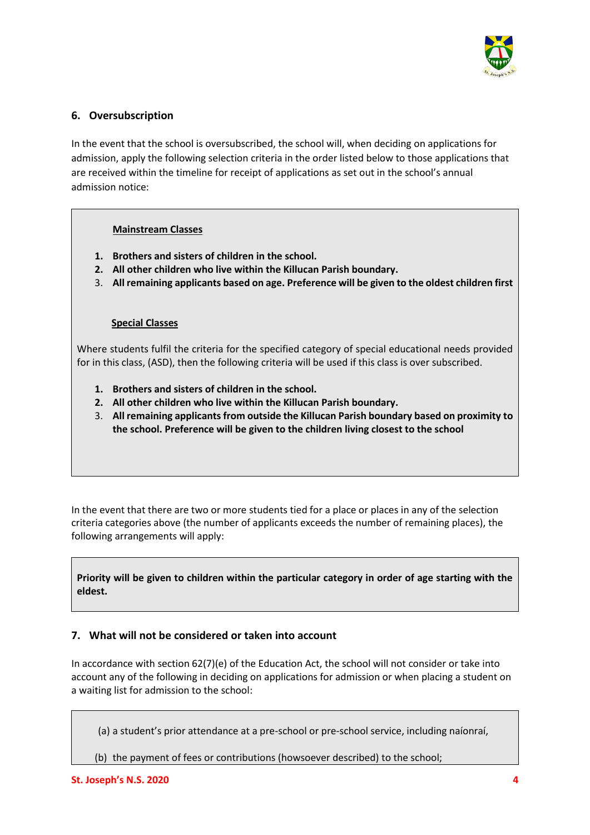

# <span id="page-3-0"></span>**6. Oversubscription**

In the event that the school is oversubscribed, the school will, when deciding on applications for admission, apply the following selection criteria in the order listed below to those applications that are received within the timeline for receipt of applications as set out in the school's annual admission notice:

#### **Mainstream Classes**

- **1. Brothers and sisters of children in the school.**
- **2. All other children who live within the Killucan Parish boundary.**
- 3. **All remaining applicants based on age. Preference will be given to the oldest children first**

#### **Special Classes**

Where students fulfil the criteria for the specified category of special educational needs provided for in this class, (ASD), then the following criteria will be used if this class is over subscribed.

- **1. Brothers and sisters of children in the school.**
- **2. All other children who live within the Killucan Parish boundary.**
- 3. **All remaining applicants from outside the Killucan Parish boundary based on proximity to the school. Preference will be given to the children living closest to the school**

In the event that there are two or more students tied for a place or places in any of the selection criteria categories above (the number of applicants exceeds the number of remaining places), the following arrangements will apply:

**Priority will be given to children within the particular category in order of age starting with the eldest.**

### **7. What will not be considered or taken into account**

In accordance with section 62(7)(e) of the Education Act, the school will not consider or take into account any of the following in deciding on applications for admission or when placing a student on a waiting list for admission to the school:

(a) a student's prior attendance at a pre-school or pre-school service, including naíonraí,

(b) the payment of fees or contributions (howsoever described) to the school;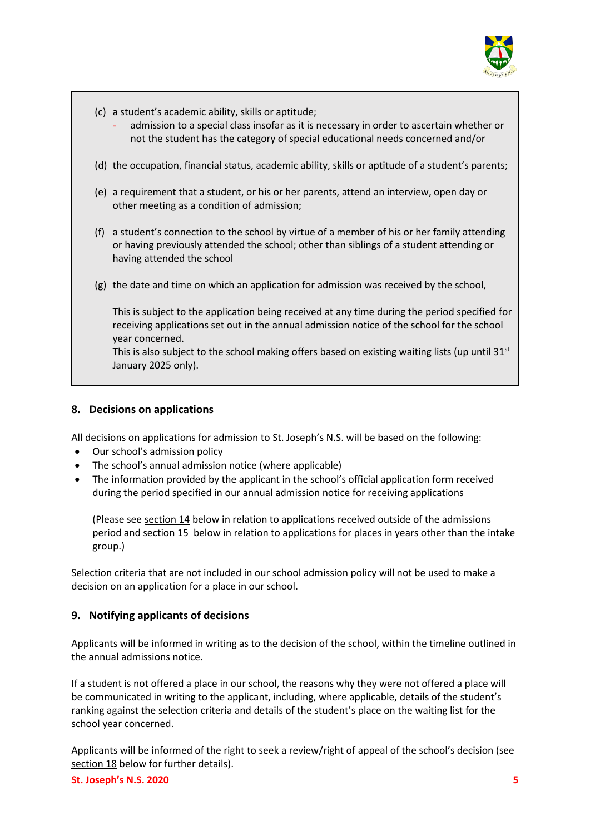

- (c) a student's academic ability, skills or aptitude;
	- admission to a special class insofar as it is necessary in order to ascertain whether or not the student has the category of special educational needs concerned and/or
- (d) the occupation, financial status, academic ability, skills or aptitude of a student's parents;
- (e) a requirement that a student, or his or her parents, attend an interview, open day or other meeting as a condition of admission;
- (f) a student's connection to the school by virtue of a member of his or her family attending or having previously attended the school; other than siblings of a student attending or having attended the school
- (g) the date and time on which an application for admission was received by the school,

This is subject to the application being received at any time during the period specified for receiving applications set out in the annual admission notice of the school for the school year concerned.

This is also subject to the school making offers based on existing waiting lists (up until 31 $\mathrm{^{st}}$ January 2025 only).

### **8. Decisions on applications**

All decisions on applications for admission to St. Joseph's N.S. will be based on the following:

- Our school's admission policy
- The school's annual admission notice (where applicable)
- The information provided by the applicant in the school's official application form received during the period specified in our annual admission notice for receiving applications

(Please se[e section 14](#page-6-0) below in relation to applications received outside of the admissions period an[d section 15](#page-6-1) below in relation to applications for places in years other than the intake group.)

Selection criteria that are not included in our school admission policy will not be used to make a decision on an application for a place in our school.

### **9. Notifying applicants of decisions**

Applicants will be informed in writing as to the decision of the school, within the timeline outlined in the annual admissions notice.

If a student is not offered a place in our school, the reasons why they were not offered a place will be communicated in writing to the applicant, including, where applicable, details of the student's ranking against the selection criteria and details of the student's place on the waiting list for the school year concerned.

Applicants will be informed of the right to seek a review/right of appeal of the school's decision (see [section 18](#page-7-0) below for further details).

#### **St. Joseph's N.S. 2020 5**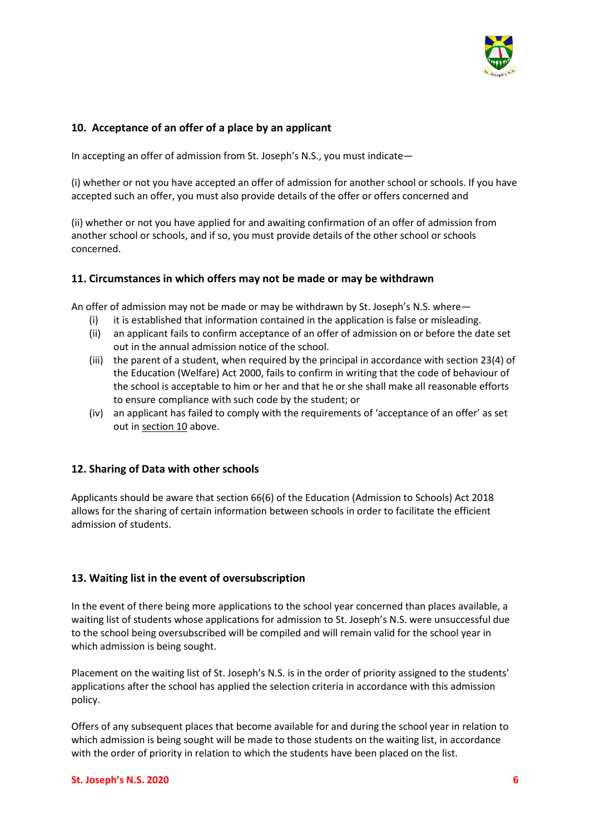

# <span id="page-5-0"></span>**10. Acceptance of an offer of a place by an applicant**

In accepting an offer of admission from St. Joseph's N.S., you must indicate—

(i) whether or not you have accepted an offer of admission for another school or schools. If you have accepted such an offer, you must also provide details of the offer or offers concerned and

(ii) whether or not you have applied for and awaiting confirmation of an offer of admission from another school or schools, and if so, you must provide details of the other school or schools concerned.

### **11. Circumstances in which offers may not be made or may be withdrawn**

An offer of admission may not be made or may be withdrawn by St. Joseph's N.S. where—

- (i) it is established that information contained in the application is false or misleading.
- (ii) an applicant fails to confirm acceptance of an offer of admission on or before the date set out in the annual admission notice of the school.
- (iii) the parent of a student, when required by the principal in accordance with section 23(4) of the Education (Welfare) Act 2000, fails to confirm in writing that the code of behaviour of the school is acceptable to him or her and that he or she shall make all reasonable efforts to ensure compliance with such code by the student; or
- (iv) an applicant has failed to comply with the requirements of 'acceptance of an offer' as set out in [section 10](#page-5-0) above.

### **12. Sharing of Data with other schools**

Applicants should be aware that section 66(6) of the Education (Admission to Schools) Act 2018 allows for the sharing of certain information between schools in order to facilitate the efficient admission of students.

### **13. Waiting list in the event of oversubscription**

In the event of there being more applications to the school year concerned than places available, a waiting list of students whose applications for admission to St. Joseph's N.S. were unsuccessful due to the school being oversubscribed will be compiled and will remain valid for the school year in which admission is being sought.

Placement on the waiting list of St. Joseph's N.S. is in the order of priority assigned to the students' applications after the school has applied the selection criteria in accordance with this admission policy.

Offers of any subsequent places that become available for and during the school year in relation to which admission is being sought will be made to those students on the waiting list, in accordance with the order of priority in relation to which the students have been placed on the list.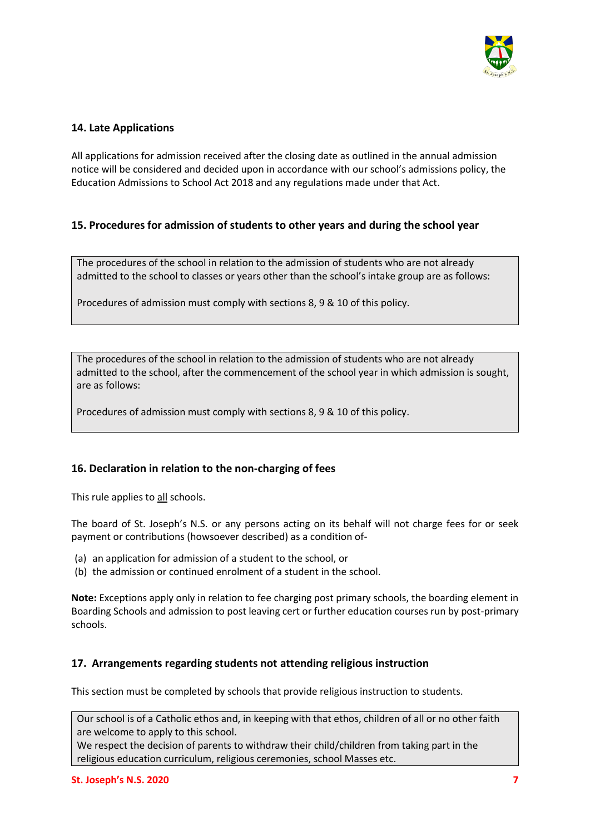

# <span id="page-6-0"></span>**14. Late Applications**

All applications for admission received after the closing date as outlined in the annual admission notice will be considered and decided upon in accordance with our school's admissions policy, the Education Admissions to School Act 2018 and any regulations made under that Act.

# <span id="page-6-1"></span>**15. Procedures for admission of students to other years and during the school year**

The procedures of the school in relation to the admission of students who are not already admitted to the school to classes or years other than the school's intake group are as follows:

Procedures of admission must comply with sections 8, 9 & 10 of this policy.

The procedures of the school in relation to the admission of students who are not already admitted to the school, after the commencement of the school year in which admission is sought, are as follows:

Procedures of admission must comply with sections 8, 9 & 10 of this policy.

### **16. Declaration in relation to the non-charging of fees**

This rule applies to all schools.

The board of St. Joseph's N.S. or any persons acting on its behalf will not charge fees for or seek payment or contributions (howsoever described) as a condition of-

- (a) an application for admission of a student to the school, or
- (b) the admission or continued enrolment of a student in the school.

**Note:** Exceptions apply only in relation to fee charging post primary schools, the boarding element in Boarding Schools and admission to post leaving cert or further education courses run by post-primary schools.

### **17. Arrangements regarding students not attending religious instruction**

This section must be completed by schools that provide religious instruction to students.

Our school is of a Catholic ethos and, in keeping with that ethos, children of all or no other faith are welcome to apply to this school.

We respect the decision of parents to withdraw their child/children from taking part in the religious education curriculum, religious ceremonies, school Masses etc.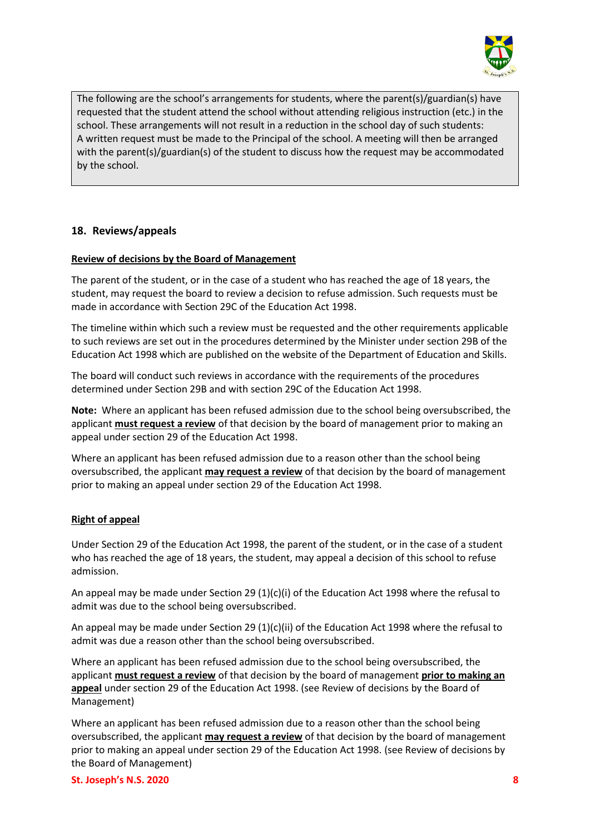

The following are the school's arrangements for students, where the parent(s)/guardian(s) have requested that the student attend the school without attending religious instruction (etc.) in the school. These arrangements will not result in a reduction in the school day of such students: A written request must be made to the Principal of the school. A meeting will then be arranged with the parent(s)/guardian(s) of the student to discuss how the request may be accommodated by the school.

### <span id="page-7-0"></span>**18. Reviews/appeals**

#### **Review of decisions by the Board of Management**

The parent of the student, or in the case of a student who has reached the age of 18 years, the student, may request the board to review a decision to refuse admission. Such requests must be made in accordance with Section 29C of the Education Act 1998.

The timeline within which such a review must be requested and the other requirements applicable to such reviews are set out in the procedures determined by the Minister under section 29B of the Education Act 1998 which are published on the website of the Department of Education and Skills.

The board will conduct such reviews in accordance with the requirements of the procedures determined under Section 29B and with section 29C of the Education Act 1998.

**Note:** Where an applicant has been refused admission due to the school being oversubscribed, the applicant **must request a review** of that decision by the board of management prior to making an appeal under section 29 of the Education Act 1998.

Where an applicant has been refused admission due to a reason other than the school being oversubscribed, the applicant **may request a review** of that decision by the board of management prior to making an appeal under section 29 of the Education Act 1998.

#### **Right of appeal**

Under Section 29 of the Education Act 1998, the parent of the student, or in the case of a student who has reached the age of 18 years, the student, may appeal a decision of this school to refuse admission.

An appeal may be made under Section 29 (1)(c)(i) of the Education Act 1998 where the refusal to admit was due to the school being oversubscribed.

An appeal may be made under Section 29 (1)(c)(ii) of the Education Act 1998 where the refusal to admit was due a reason other than the school being oversubscribed.

Where an applicant has been refused admission due to the school being oversubscribed, the applicant **must request a review** of that decision by the board of management **prior to making an appeal** under section 29 of the Education Act 1998. (see Review of decisions by the Board of Management)

Where an applicant has been refused admission due to a reason other than the school being oversubscribed, the applicant **may request a review** of that decision by the board of management prior to making an appeal under section 29 of the Education Act 1998. (see Review of decisions by the Board of Management)

#### **St. Joseph's N.S. 2020 8**